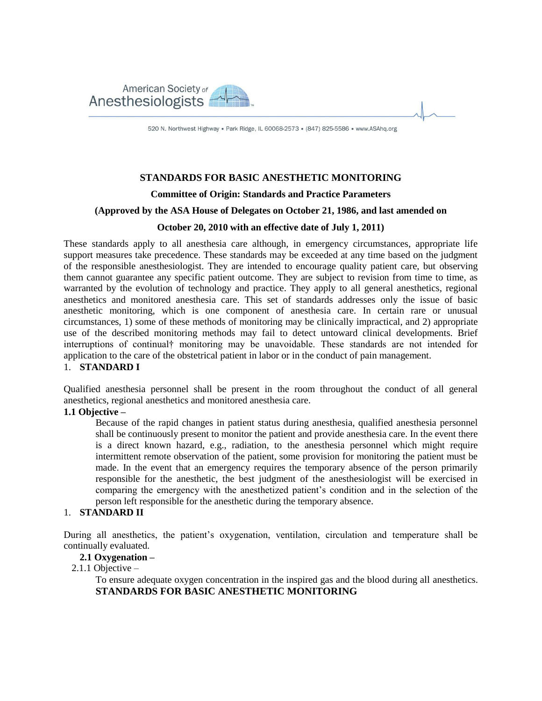

520 N. Northwest Highway . Park Ridge, IL 60068-2573 . (847) 825-5586 . www.ASAhq.org

### **STANDARDS FOR BASIC ANESTHETIC MONITORING**

#### **Committee of Origin: Standards and Practice Parameters**

#### **(Approved by the ASA House of Delegates on October 21, 1986, and last amended on**

#### **October 20, 2010 with an effective date of July 1, 2011)**

These standards apply to all anesthesia care although, in emergency circumstances, appropriate life support measures take precedence. These standards may be exceeded at any time based on the judgment of the responsible anesthesiologist. They are intended to encourage quality patient care, but observing them cannot guarantee any specific patient outcome. They are subject to revision from time to time, as warranted by the evolution of technology and practice. They apply to all general anesthetics, regional anesthetics and monitored anesthesia care. This set of standards addresses only the issue of basic anesthetic monitoring, which is one component of anesthesia care. In certain rare or unusual circumstances, 1) some of these methods of monitoring may be clinically impractical, and 2) appropriate use of the described monitoring methods may fail to detect untoward clinical developments. Brief interruptions of continual† monitoring may be unavoidable. These standards are not intended for application to the care of the obstetrical patient in labor or in the conduct of pain management.

#### 1. **STANDARD I**

Qualified anesthesia personnel shall be present in the room throughout the conduct of all general anesthetics, regional anesthetics and monitored anesthesia care.

#### **1.1 Objective –**

Because of the rapid changes in patient status during anesthesia, qualified anesthesia personnel shall be continuously present to monitor the patient and provide anesthesia care. In the event there is a direct known hazard, e.g., radiation, to the anesthesia personnel which might require intermittent remote observation of the patient, some provision for monitoring the patient must be made. In the event that an emergency requires the temporary absence of the person primarily responsible for the anesthetic, the best judgment of the anesthesiologist will be exercised in comparing the emergency with the anesthetized patient's condition and in the selection of the person left responsible for the anesthetic during the temporary absence.

#### 1. **STANDARD II**

During all anesthetics, the patient's oxygenation, ventilation, circulation and temperature shall be continually evaluated.

#### **2.1 Oxygenation –**

2.1.1 Objective –

To ensure adequate oxygen concentration in the inspired gas and the blood during all anesthetics. **STANDARDS FOR BASIC ANESTHETIC MONITORING**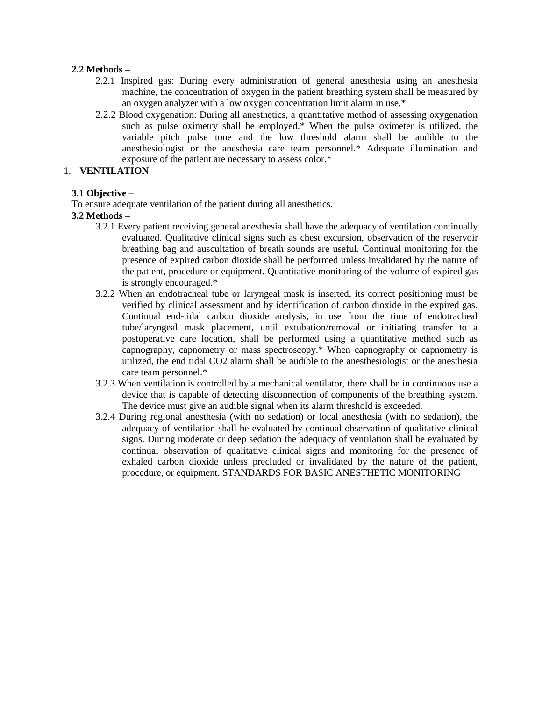#### **2.2 Methods –**

- 2.2.1 Inspired gas: During every administration of general anesthesia using an anesthesia machine, the concentration of oxygen in the patient breathing system shall be measured by an oxygen analyzer with a low oxygen concentration limit alarm in use.\*
- 2.2.2 Blood oxygenation: During all anesthetics, a quantitative method of assessing oxygenation such as pulse oximetry shall be employed.\* When the pulse oximeter is utilized, the variable pitch pulse tone and the low threshold alarm shall be audible to the anesthesiologist or the anesthesia care team personnel.\* Adequate illumination and exposure of the patient are necessary to assess color.\*

## 1. **VENTILATION**

### **3.1 Objective –**

To ensure adequate ventilation of the patient during all anesthetics.

## **3.2 Methods –**

- 3.2.1 Every patient receiving general anesthesia shall have the adequacy of ventilation continually evaluated. Qualitative clinical signs such as chest excursion, observation of the reservoir breathing bag and auscultation of breath sounds are useful. Continual monitoring for the presence of expired carbon dioxide shall be performed unless invalidated by the nature of the patient, procedure or equipment. Quantitative monitoring of the volume of expired gas is strongly encouraged.\*
- 3.2.2 When an endotracheal tube or laryngeal mask is inserted, its correct positioning must be verified by clinical assessment and by identification of carbon dioxide in the expired gas. Continual end-tidal carbon dioxide analysis, in use from the time of endotracheal tube/laryngeal mask placement, until extubation/removal or initiating transfer to a postoperative care location, shall be performed using a quantitative method such as capnography, capnometry or mass spectroscopy.\* When capnography or capnometry is utilized, the end tidal CO2 alarm shall be audible to the anesthesiologist or the anesthesia care team personnel.\*
- 3.2.3 When ventilation is controlled by a mechanical ventilator, there shall be in continuous use a device that is capable of detecting disconnection of components of the breathing system. The device must give an audible signal when its alarm threshold is exceeded.
- 3.2.4 During regional anesthesia (with no sedation) or local anesthesia (with no sedation), the adequacy of ventilation shall be evaluated by continual observation of qualitative clinical signs. During moderate or deep sedation the adequacy of ventilation shall be evaluated by continual observation of qualitative clinical signs and monitoring for the presence of exhaled carbon dioxide unless precluded or invalidated by the nature of the patient, procedure, or equipment. STANDARDS FOR BASIC ANESTHETIC MONITORING